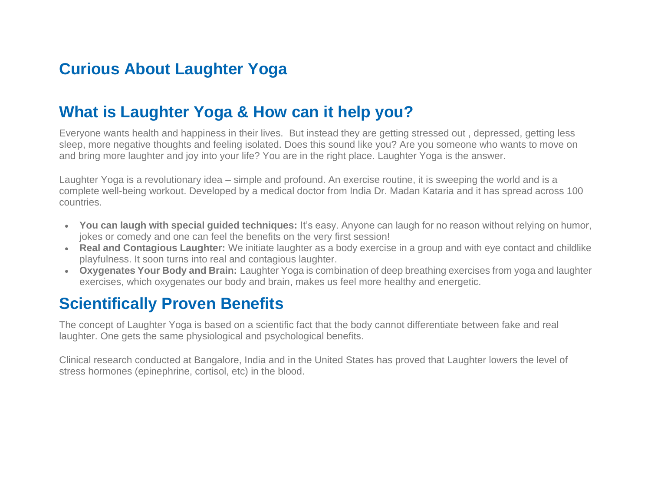## **Curious About Laughter Yoga**

### **What is Laughter Yoga & How can it help you?**

Everyone wants health and happiness in their lives. But instead they are getting stressed out , depressed, getting less sleep, more negative thoughts and feeling isolated. Does this sound like you? Are you someone who wants to move on and bring more laughter and joy into your life? You are in the right place. Laughter Yoga is the answer.

Laughter Yoga is a revolutionary idea – simple and profound. An exercise routine, it is sweeping the world and is a complete well-being workout. Developed by a medical doctor from India Dr. Madan Kataria and it has spread across 100 countries.

- **You can laugh with special guided techniques:** It's easy. Anyone can laugh for no reason without relying on humor, jokes or comedy and one can feel the benefits on the very first session!
- **Real and Contagious Laughter:** We initiate laughter as a body exercise in a group and with eye contact and childlike playfulness. It soon turns into real and contagious laughter.
- **Oxygenates Your Body and Brain:** Laughter Yoga is combination of deep breathing exercises from yoga and laughter exercises, which oxygenates our body and brain, makes us feel more healthy and energetic.

## **Scientifically Proven Benefits**

The concept of Laughter Yoga is based on a scientific fact that the body cannot differentiate between fake and real laughter. One gets the same physiological and psychological benefits.

Clinical research conducted at Bangalore, India and in the United States has proved that Laughter lowers the level of stress hormones (epinephrine, cortisol, etc) in the blood.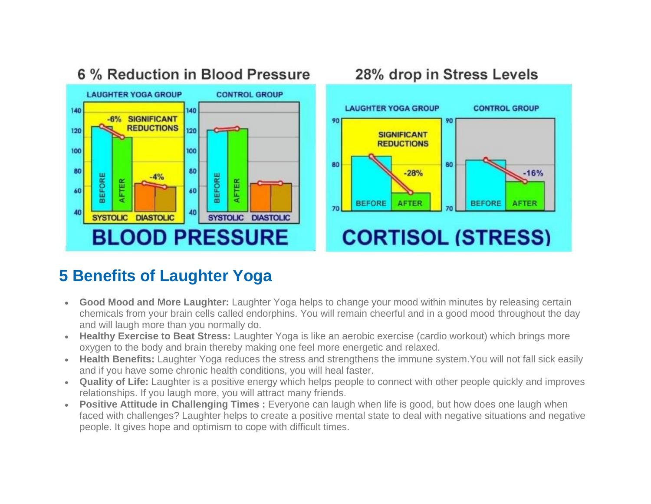

#### 6 % Reduction in Blood Pressure 28% drop in Stress Levels **LAUGHTER YOGA GROUP CONTROL GROUP** 90 90 **SIGNIFICANT REDUCTIONS** 80 80  $-28%$ **BEFORE BEFORE**

# **CORTISOL (STRESS)**

**AFTER** 

 $-16%$ 

**AFTER** 

## **5 Benefits of Laughter Yoga**

- **Good Mood and More Laughter:** Laughter Yoga helps to change your mood within minutes by releasing certain chemicals from your brain cells called endorphins. You will remain cheerful and in a good mood throughout the day and will laugh more than you normally do.
- **Healthy Exercise to Beat Stress:** Laughter Yoga is like an aerobic exercise (cardio workout) which brings more oxygen to the body and brain thereby making one feel more energetic and relaxed.
- **Health Benefits:** Laughter Yoga reduces the stress and strengthens the immune system.You will not fall sick easily and if you have some chronic health conditions, you will heal faster.
- **Quality of Life:** Laughter is a positive energy which helps people to connect with other people quickly and improves relationships. If you laugh more, you will attract many friends.
- **Positive Attitude in Challenging Times :** Everyone can laugh when life is good, but how does one laugh when faced with challenges? Laughter helps to create a positive mental state to deal with negative situations and negative people. It gives hope and optimism to cope with difficult times.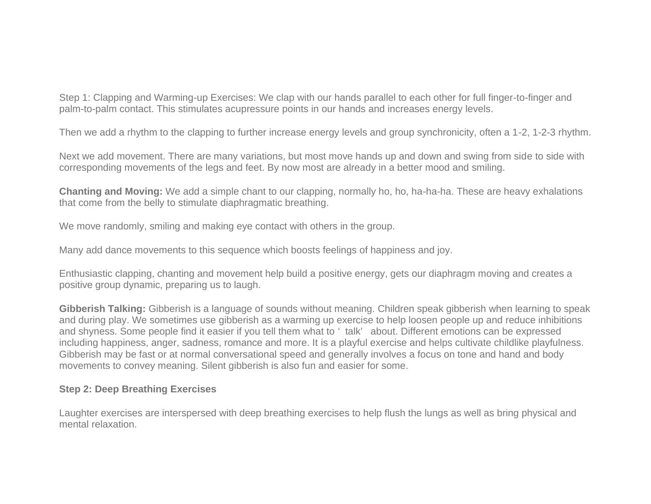Step 1: Clapping and Warming-up Exercises: We clap with our hands parallel to each other for full finger-to-finger and palm-to-palm contact. This stimulates acupressure points in our hands and increases energy levels.

Then we add a rhythm to the clapping to further increase energy levels and group synchronicity, often a 1-2, 1-2-3 rhythm.

Next we add movement. There are many variations, but most move hands up and down and swing from side to side with corresponding movements of the legs and feet. By now most are already in a better mood and smiling.

**Chanting and Moving:** We add a simple chant to our clapping, normally ho, ho, ha-ha-ha. These are heavy exhalations that come from the belly to stimulate diaphragmatic breathing.

We move randomly, smiling and making eye contact with others in the group.

Many add dance movements to this sequence which boosts feelings of happiness and joy.

Enthusiastic clapping, chanting and movement help build a positive energy, gets our diaphragm moving and creates a positive group dynamic, preparing us to laugh.

**Gibberish Talking:** Gibberish is a language of sounds without meaning. Children speak gibberish when learning to speak and during play. We sometimes use gibberish as a warming up exercise to help loosen people up and reduce inhibitions and shyness. Some people find it easier if you tell them what to ' talk' about. Different emotions can be expressed including happiness, anger, sadness, romance and more. It is a playful exercise and helps cultivate childlike playfulness. Gibberish may be fast or at normal conversational speed and generally involves a focus on tone and hand and body movements to convey meaning. Silent gibberish is also fun and easier for some.

#### **Step 2: Deep Breathing Exercises**

Laughter exercises are interspersed with deep breathing exercises to help flush the lungs as well as bring physical and mental relaxation.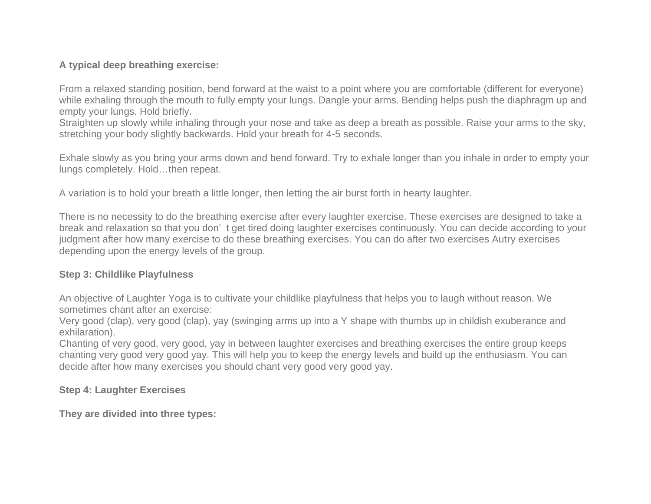### **A typical deep breathing exercise:**

From a relaxed standing position, bend forward at the waist to a point where you are comfortable (different for everyone) while exhaling through the mouth to fully empty your lungs. Dangle your arms. Bending helps push the diaphragm up and empty your lungs. Hold briefly.

Straighten up slowly while inhaling through your nose and take as deep a breath as possible. Raise your arms to the sky, stretching your body slightly backwards. Hold your breath for 4-5 seconds.

Exhale slowly as you bring your arms down and bend forward. Try to exhale longer than you inhale in order to empty your lungs completely. Hold…then repeat.

A variation is to hold your breath a little longer, then letting the air burst forth in hearty laughter.

There is no necessity to do the breathing exercise after every laughter exercise. These exercises are designed to take a break and relaxation so that you don' t get tired doing laughter exercises continuously. You can decide according to your judgment after how many exercise to do these breathing exercises. You can do after two exercises Autry exercises depending upon the energy levels of the group.

#### **Step 3: Childlike Playfulness**

An objective of Laughter Yoga is to cultivate your childlike playfulness that helps you to laugh without reason. We sometimes chant after an exercise:

Very good (clap), very good (clap), yay (swinging arms up into a Y shape with thumbs up in childish exuberance and exhilaration).

Chanting of very good, very good, yay in between laughter exercises and breathing exercises the entire group keeps chanting very good very good yay. This will help you to keep the energy levels and build up the enthusiasm. You can decide after how many exercises you should chant very good very good yay.

#### **Step 4: Laughter Exercises**

**They are divided into three types:**